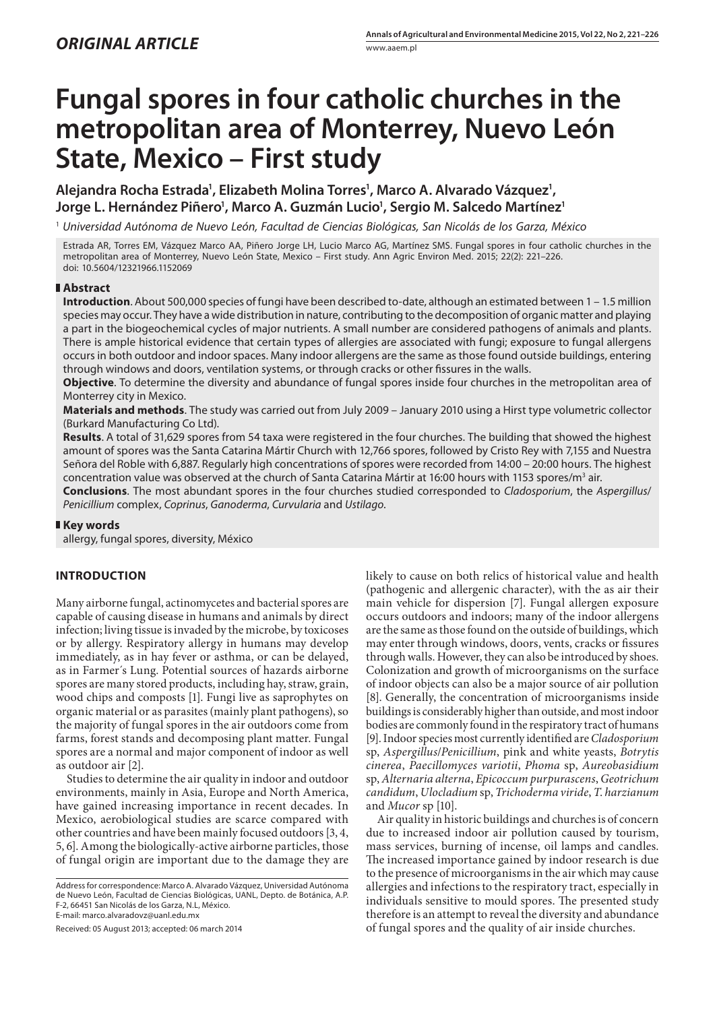# **Fungal spores in four catholic churches in the metropolitan area of Monterrey, Nuevo León State, Mexico – First study**

Alejandra Rocha Estrada<sup>1</sup>, Elizabeth Molina Torres<sup>1</sup>, Marco A. Alvarado Vázquez<sup>1</sup>, Jorge L. Hernández Piñero<sup>1</sup>, Marco A. Guzmán Lucio<sup>1</sup>, Sergio M. Salcedo Martínez<sup>1</sup>

1  *Universidad Autónoma de Nuevo León, Facultad de Ciencias Biológicas, San Nicolás de los Garza, México*

Estrada AR, Torres EM, Vázquez Marco AA, Piñero Jorge LH, Lucio Marco AG, Martínez SMS. Fungal spores in four catholic churches in the metropolitan area of Monterrey, Nuevo León State, Mexico – First study. Ann Agric Environ Med. 2015; 22(2): 221–226. doi: 10.5604/12321966.1152069

#### **Abstract**

**Introduction**. About 500,000 species of fungi have been described to-date, although an estimated between 1 – 1.5 million species may occur. They have a wide distribution in nature, contributing to the decomposition of organic matter and playing a part in the biogeochemical cycles of major nutrients. A small number are considered pathogens of animals and plants. There is ample historical evidence that certain types of allergies are associated with fungi; exposure to fungal allergens occurs in both outdoor and indoor spaces. Many indoor allergens are the same as those found outside buildings, entering through windows and doors, ventilation systems, or through cracks or other fissures in the walls.

**Objective**. To determine the diversity and abundance of fungal spores inside four churches in the metropolitan area of Monterrey city in Mexico.

**Materials and methods**. The study was carried out from July 2009 – January 2010 using a Hirst type volumetric collector (Burkard Manufacturing Co Ltd).

**Results**. A total of 31,629 spores from 54 taxa were registered in the four churches. The building that showed the highest amount of spores was the Santa Catarina Mártir Church with 12,766 spores, followed by Cristo Rey with 7,155 and Nuestra Señora del Roble with 6,887. Regularly high concentrations of spores were recorded from 14:00 – 20:00 hours. The highest concentration value was observed at the church of Santa Catarina Mártir at 16:00 hours with 1153 spores/m<sup>3</sup> air.

**Conclusions**. The most abundant spores in the four churches studied corresponded to *Cladosporium*, the *Aspergillus*/ *Penicillium* complex, *Coprinus*, *Ganoderma*, *Curvularia* and *Ustilago*.

## **Key words**

allergy, fungal spores, diversity, México

## **INTRODUCTION**

Many airborne fungal, actinomycetes and bacterial spores are capable of causing disease in humans and animals by direct infection; living tissue is invaded by the microbe, by toxicoses or by allergy. Respiratory allergy in humans may develop immediately, as in hay fever or asthma, or can be delayed, as in Farmer´s Lung. Potential sources of hazards airborne spores are many stored products, including hay, straw, grain, wood chips and composts [1]. Fungi live as saprophytes on organic material or as parasites (mainly plant pathogens), so the majority of fungal spores in the air outdoors come from farms, forest stands and decomposing plant matter. Fungal spores are a normal and major component of indoor as well as outdoor air [2].

Studies to determine the air quality in indoor and outdoor environments, mainly in Asia, Europe and North America, have gained increasing importance in recent decades. In Mexico, aerobiological studies are scarce compared with other countries and have been mainly focused outdoors [3, 4, 5, 6]. Among the biologically-active airborne particles, those of fungal origin are important due to the damage they are

Received: 05 August 2013; accepted: 06 march 2014

likely to cause on both relics of historical value and health (pathogenic and allergenic character), with the as air their main vehicle for dispersion [7]. Fungal allergen exposure occurs outdoors and indoors; many of the indoor allergens are the same as those found on the outside of buildings, which may enter through windows, doors, vents, cracks or fissures through walls. However, they can also be introduced by shoes. Colonization and growth of microorganisms on the surface of indoor objects can also be a major source of air pollution [8]. Generally, the concentration of microorganisms inside buildings is considerably higher than outside, and most indoor bodies are commonly found in the respiratory tract of humans [9]. Indoor species most currently identified are *Cladosporium* sp, *Aspergillus*/*Penicillium*, pink and white yeasts, *Botrytis cinerea*, *Paecillomyces variotii*, *Phoma* sp, *Aureobasidium* sp, *Alternaria alterna*, *Epicoccum purpurascens*, *Geotrichum candidum*, *Ulocladium* sp, *Trichoderma viride*, *T*. *harzianum* and *Mucor* sp [10].

Air quality in historic buildings and churches is of concern due to increased indoor air pollution caused by tourism, mass services, burning of incense, oil lamps and candles. The increased importance gained by indoor research is due to the presence of microorganisms in the air which may cause allergies and infections to the respiratory tract, especially in individuals sensitive to mould spores. The presented study therefore is an attempt to reveal the diversity and abundance of fungal spores and the quality of air inside churches.

Address for correspondence: Marco A. Alvarado Vázquez, Universidad Autónoma de Nuevo León, Facultad de Ciencias Biológicas, UANL, Depto. de Botánica, A.P. F-2, 66451 San Nicolás de los Garza, N.L, México. E-mail: marco.alvaradovz@uanl.edu.mx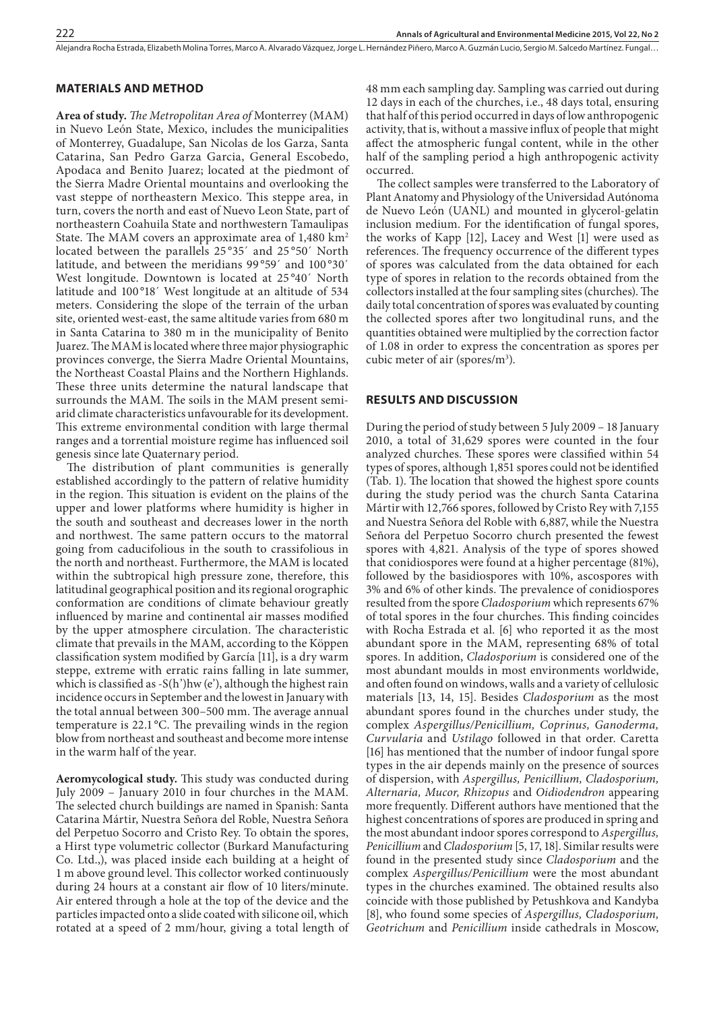#### Alejandra Rocha Estrada, Elizabeth Molina Torres, Marco A. Alvarado Vázquez, Jorge L. Hernández Piñero, Marco A. Guzmán Lucio, Sergio M. Salcedo Martínez . Fungal…

## **MATERIALS AND METHOD**

**Area of study.** *The Metropolitan Area of* Monterrey (MAM) in Nuevo León State, Mexico, includes the municipalities of Monterrey, Guadalupe, San Nicolas de los Garza, Santa Catarina, San Pedro Garza Garcia, General Escobedo, Apodaca and Benito Juarez; located at the piedmont of the Sierra Madre Oriental mountains and overlooking the vast steppe of northeastern Mexico. This steppe area, in turn, covers the north and east of Nuevo Leon State, part of northeastern Coahuila State and northwestern Tamaulipas State. The MAM covers an approximate area of  $1,480 \text{ km}^2$ located between the parallels 25 °35´ and 25 °50´ North latitude, and between the meridians 99°59′ and 100°30′ West longitude. Downtown is located at 25 °40´ North latitude and 100°18′ West longitude at an altitude of 534 meters. Considering the slope of the terrain of the urban site, oriented west-east, the same altitude varies from 680 m in Santa Catarina to 380 m in the municipality of Benito Juarez. The MAM is located where three major physiographic provinces converge, the Sierra Madre Oriental Mountains, the Northeast Coastal Plains and the Northern Highlands. These three units determine the natural landscape that surrounds the MAM. The soils in the MAM present semiarid climate characteristics unfavourable for its development. This extreme environmental condition with large thermal ranges and a torrential moisture regime has influenced soil genesis since late Quaternary period.

The distribution of plant communities is generally established accordingly to the pattern of relative humidity in the region. This situation is evident on the plains of the upper and lower platforms where humidity is higher in the south and southeast and decreases lower in the north and northwest. The same pattern occurs to the matorral going from caducifolious in the south to crassifolious in the north and northeast. Furthermore, the MAM is located within the subtropical high pressure zone, therefore, this latitudinal geographical position and its regional orographic conformation are conditions of climate behaviour greatly influenced by marine and continental air masses modified by the upper atmosphere circulation. The characteristic climate that prevails in the MAM, according to the Köppen classification system modified by García [11], is a dry warm steppe, extreme with erratic rains falling in late summer, which is classified as -S(h')hw (e'), although the highest rain incidence occurs in September and the lowest in January with the total annual between 300–500 mm. The average annual temperature is 22.1 °C. The prevailing winds in the region blow from northeast and southeast and become more intense in the warm half of the year.

**Aeromycological study.** This study was conducted during July 2009 – January 2010 in four churches in the MAM. The selected church buildings are named in Spanish: Santa Catarina Mártir, Nuestra Señora del Roble, Nuestra Señora del Perpetuo Socorro and Cristo Rey. To obtain the spores, a Hirst type volumetric collector (Burkard Manufacturing Co. Ltd.,), was placed inside each building at a height of 1 m above ground level. This collector worked continuously during 24 hours at a constant air flow of 10 liters/minute. Air entered through a hole at the top of the device and the particles impacted onto a slide coated with silicone oil, which rotated at a speed of 2 mm/hour, giving a total length of 48 mm each sampling day. Sampling was carried out during 12 days in each of the churches, i.e., 48 days total, ensuring that half of this period occurred in days of low anthropogenic activity, that is, without a massive influx of people that might affect the atmospheric fungal content, while in the other half of the sampling period a high anthropogenic activity occurred.

The collect samples were transferred to the Laboratory of Plant Anatomy and Physiology of the Universidad Autónoma de Nuevo León (UANL) and mounted in glycerol-gelatin inclusion medium. For the identification of fungal spores, the works of Kapp [12], Lacey and West [1] were used as references. The frequency occurrence of the different types of spores was calculated from the data obtained for each type of spores in relation to the records obtained from the collectors installed at the four sampling sites (churches). The daily total concentration of spores was evaluated by counting the collected spores after two longitudinal runs, and the quantities obtained were multiplied by the correction factor of 1.08 in order to express the concentration as spores per cubic meter of air (spores/m<sup>3</sup>).

## **RESULTS AND DISCUSSION**

During the period of study between 5 July 2009 – 18 January 2010, a total of 31,629 spores were counted in the four analyzed churches. These spores were classified within 54 types of spores, although 1,851 spores could not be identified (Tab. 1). The location that showed the highest spore counts during the study period was the church Santa Catarina Mártir with 12,766 spores, followed by Cristo Rey with 7,155 and Nuestra Señora del Roble with 6,887, while the Nuestra Señora del Perpetuo Socorro church presented the fewest spores with 4,821. Analysis of the type of spores showed that conidiospores were found at a higher percentage (81%), followed by the basidiospores with 10%, ascospores with 3% and 6% of other kinds. The prevalence of conidiospores resulted from the spore *Cladosporium* which represents 67% of total spores in the four churches. This finding coincides with Rocha Estrada et al. [6] who reported it as the most abundant spore in the MAM, representing 68% of total spores. In addition, *Cladosporium* is considered one of the most abundant moulds in most environments worldwide, and often found on windows, walls and a variety of cellulosic materials [13, 14, 15]. Besides *Cladosporium* as the most abundant spores found in the churches under study, the complex *Aspergillus/Penicillium, Coprinus, Ganoderma, Curvularia* and *Ustilago* followed in that order. Caretta [16] has mentioned that the number of indoor fungal spore types in the air depends mainly on the presence of sources of dispersion, with *Aspergillus, Penicillium, Cladosporium, Alternaria, Mucor, Rhizopus* and *Oidiodendron* appearing more frequently. Different authors have mentioned that the highest concentrations of spores are produced in spring and the most abundant indoor spores correspond to *Aspergillus, Penicillium* and *Cladosporium* [5, 17, 18]. Similar results were found in the presented study since *Cladosporium* and the complex *Aspergillus/Penicillium* were the most abundant types in the churches examined. The obtained results also coincide with those published by Petushkova and Kandyba [8], who found some species of *Aspergillus, Cladosporium, Geotrichum* and *Penicillium* inside cathedrals in Moscow,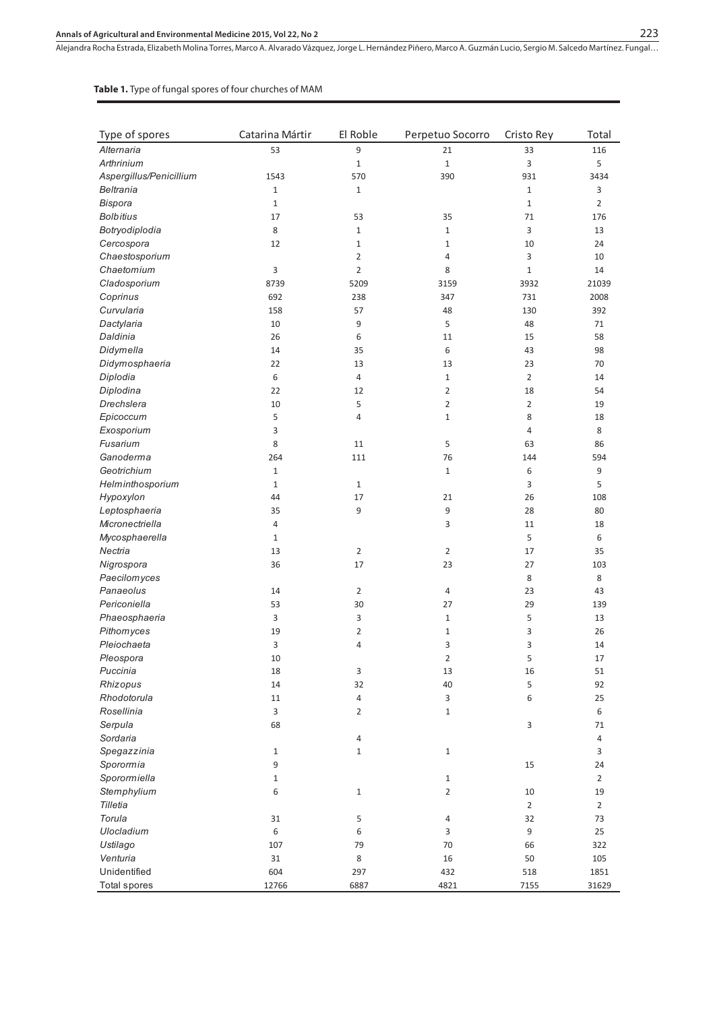## **Annals of Agricultural and Environmental Medicine 2015, Vol 22, No 2**

Alejandra Rocha Estrada, Elizabeth Molina Torres, Marco A. Alvarado Vázquez, Jorge L. Hernández Piñero, Marco A. Guzmán Lucio, Sergio M. Salcedo Martínez . Fungal…

#### **Table 1.** Type of fungal spores of four churches of MAM

| Type of spores          | Catarina Mártir  | El Roble       | Perpetuo Socorro | Cristo Rey     | Total          |
|-------------------------|------------------|----------------|------------------|----------------|----------------|
| Alternaria              | 53               | 9              | 21               | 33             | 116            |
| Arthrinium              |                  | $\mathbf 1$    | $\mathbf{1}$     | 3              | 5              |
| Aspergillus/Penicillium | 1543             | 570            | 390              | 931            | 3434           |
| Beltrania               | $\mathbf{1}$     | $\mathbf{1}$   |                  | $\mathbf{1}$   | 3              |
| Bispora                 | $\mathbf{1}$     |                |                  | $\mathbf{1}$   | $\overline{2}$ |
| <b>Bolbitius</b>        | 17               | 53             | 35               | 71             | 176            |
| Botryodiplodia          | 8                | $\mathbf{1}$   | $\mathbf{1}$     | 3              | 13             |
| Cercospora              | 12               | $\mathbf{1}$   | $\mathbf{1}$     | 10             | 24             |
| Chaestosporium          |                  | $\overline{2}$ | 4                | 3              | 10             |
| Chaetomium              | 3                | $\overline{2}$ | 8                | $\mathbf{1}$   | 14             |
| Cladosporium            | 8739             | 5209           | 3159             | 3932           | 21039          |
| Coprinus                | 692              | 238            | 347              | 731            | 2008           |
| Curvularia              | 158              | 57             | 48               | 130            | 392            |
| Dactylaria              | 10               | 9              | 5                | 48             | 71             |
| Daldinia                | 26               | 6              | 11               | 15             | 58             |
| Didymella               | 14               | 35             | 6                | 43             | 98             |
| Didymosphaeria          | 22               | 13             | 13               | 23             | 70             |
| Diplodia                | 6                | $\overline{4}$ | $\mathbf{1}$     | $\overline{2}$ | 14             |
| Diplodina               | 22               | 12             | $\overline{2}$   | 18             | 54             |
| Drechslera              | 10               | 5              | $\overline{2}$   | $\overline{2}$ | 19             |
| Epicoccum               | 5                | 4              | $\mathbf{1}$     | 8              | 18             |
| Exosporium              | 3                |                |                  | 4              | 8              |
| Fusarium                | 8                | 11             | 5                | 63             | 86             |
| Ganoderma               | 264              | 111            | 76               | 144            | 594            |
| Geotrichium             | $\mathbf{1}$     |                | $\mathbf{1}$     | 6              | 9              |
| Helminthosporium        | $\mathbf{1}$     | $\mathbf{1}$   |                  | 3              | 5              |
| Hypoxylon               | 44               | 17             | 21               | 26             | 108            |
| Leptosphaeria           | 35               | 9              | 9                | 28             | 80             |
| Micronectriella         | $\overline{4}$   |                | 3                | 11             | 18             |
| Mycosphaerella          | $\mathbf{1}$     |                |                  | 5              | 6              |
| Nectria                 | 13               | $\overline{2}$ | 2                | 17             | 35             |
| Nigrospora              | 36               | 17             | 23               | 27             | 103            |
| Paecilomyces            |                  |                |                  | 8              | 8              |
| Panaeolus               | 14               | $\overline{2}$ | 4                | 23             | 43             |
| Periconiella            | 53               | 30             | 27               | 29             | 139            |
| Phaeosphaeria           | 3                | 3              | $\mathbf{1}$     | 5              | 13             |
| Pithomyces              | 19               | 2              | $\mathbf{1}$     | 3              | 26             |
| Pleiochaeta             | 3                | 4              | 3                | 3              | 14             |
| Pleospora               | 10               |                | $\overline{2}$   | 5              | 17             |
| Puccinia                | 18               | 3              | 13               | 16             | 51             |
| Rhizopus                | 14               | 32             | 40               | 5              | 92             |
| Rhodotorula             | 11               | $\overline{4}$ | 3                | 6              | 25             |
| Rosellinia              | 3                | 2              | $\mathbf{1}$     |                | 6              |
| Serpula                 | 68               |                |                  | $\mathsf 3$    | 71             |
| Sordaria                |                  | 4              |                  |                | 4              |
| Spegazzinia             | $1\,$            | $\mathbf{1}$   | $\mathbf{1}$     |                | 3              |
| Sporormia               | $\boldsymbol{9}$ |                |                  | 15             | 24             |
| Sporormiella            | $\mathbf{1}$     |                | $\mathbf{1}$     |                | $\overline{2}$ |
| Stemphylium             | 6                | $\mathbf 1$    | $\overline{2}$   | 10             | 19             |
| Tilletia                |                  |                |                  | $\overline{2}$ | $\overline{2}$ |
| Torula                  | 31               | 5              | 4                | 32             | 73             |
| Ulocladium              | $\,6\,$          | 6              | 3                | 9              | 25             |
| Ustilago                | 107              | 79             | 70               | 66             | 322            |
| Venturia                | 31               | 8              | $16\,$           | 50             | 105            |
| Unidentified            | 604              | 297            | 432              | 518            | 1851           |
| <b>Total spores</b>     | 12766            | 6887           | 4821             | 7155           | 31629          |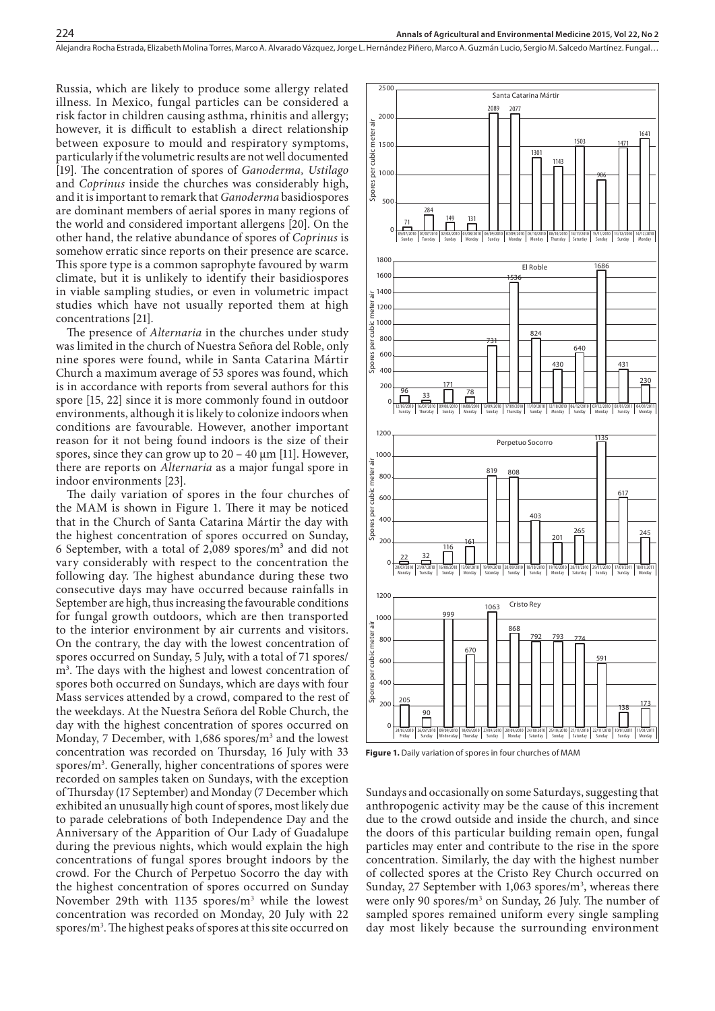Russia, which are likely to produce some allergy related illness. In Mexico, fungal particles can be considered a risk factor in children causing asthma, rhinitis and allergy; however, it is difficult to establish a direct relationship between exposure to mould and respiratory symptoms, particularly if the volumetric results are not well documented [19]. The concentration of spores of *Ganoderma, Ustilago*  and *Coprinus* inside the churches was considerably high, and it is important to remark that *Ganoderma* basidiospores are dominant members of aerial spores in many regions of the world and considered important allergens [20]. On the other hand, the relative abundance of spores of *Coprinus* is somehow erratic since reports on their presence are scarce. This spore type is a common saprophyte favoured by warm climate, but it is unlikely to identify their basidiospores in viable sampling studies, or even in volumetric impact studies which have not usually reported them at high concentrations [21].

224

The presence of *Alternaria* in the churches under study was limited in the church of Nuestra Señora del Roble, only nine spores were found, while in Santa Catarina Mártir Church a maximum average of 53 spores was found, which is in accordance with reports from several authors for this spore [15, 22] since it is more commonly found in outdoor environments, although it is likely to colonize indoors when conditions are favourable. However, another important reason for it not being found indoors is the size of their spores, since they can grow up to  $20 - 40 \mu m$  [11]. However, there are reports on *Alternaria* as a major fungal spore in indoor environments [23].

The daily variation of spores in the four churches of the MAM is shown in Figure 1. There it may be noticed that in the Church of Santa Catarina Mártir the day with the highest concentration of spores occurred on Sunday, 6 September, with a total of 2,089 spores/ $m<sup>3</sup>$  and did not vary considerably with respect to the concentration the following day. The highest abundance during these two consecutive days may have occurred because rainfalls in September are high, thus increasing the favourable conditions for fungal growth outdoors, which are then transported to the interior environment by air currents and visitors. On the contrary, the day with the lowest concentration of spores occurred on Sunday, 5 July, with a total of 71 spores/ m3 . The days with the highest and lowest concentration of spores both occurred on Sundays, which are days with four Mass services attended by a crowd, compared to the rest of the weekdays. At the Nuestra Señora del Roble Church, the day with the highest concentration of spores occurred on Monday, 7 December, with 1,686 spores/m<sup>3</sup> and the lowest concentration was recorded on Thursday, 16 July with 33 spores/m<sup>3</sup>. Generally, higher concentrations of spores were recorded on samples taken on Sundays, with the exception of Thursday (17 September) and Monday (7 December which exhibited an unusually high count of spores, most likely due to parade celebrations of both Independence Day and the Anniversary of the Apparition of Our Lady of Guadalupe during the previous nights, which would explain the high concentrations of fungal spores brought indoors by the crowd. For the Church of Perpetuo Socorro the day with the highest concentration of spores occurred on Sunday November 29th with 1135 spores/m<sup>3</sup> while the lowest concentration was recorded on Monday, 20 July with 22 spores/m<sup>3</sup>. The highest peaks of spores at this site occurred on



**Figure 1.** Daily variation of spores in four churches of MAM

Sundays and occasionally on some Saturdays, suggesting that anthropogenic activity may be the cause of this increment due to the crowd outside and inside the church, and since the doors of this particular building remain open, fungal particles may enter and contribute to the rise in the spore concentration. Similarly, the day with the highest number of collected spores at the Cristo Rey Church occurred on Sunday, 27 September with 1,063 spores/m<sup>3</sup>, whereas there were only 90 spores/m<sup>3</sup> on Sunday, 26 July. The number of sampled spores remained uniform every single sampling day most likely because the surrounding environment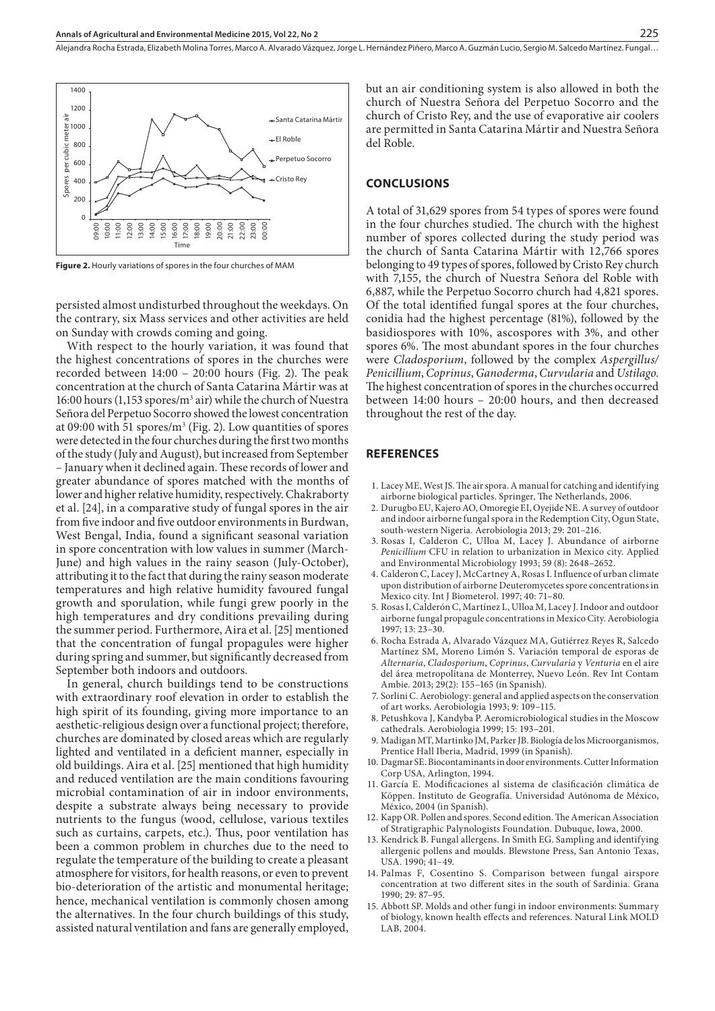Alejandra Rocha Estrada, Elizabeth Molina Torres, Marco A. Alvarado Vázquez, Jorge L. Hernández Piñero, Marco A. Guzmán Lucio, Sergio M. Salcedo Martínez . Fungal…



**Figure 2.** Hourly variations of spores in the four churches of MAM

persisted almost undisturbed throughout the weekdays. On the contrary, six Mass services and other activities are held on Sunday with crowds coming and going.

With respect to the hourly variation, it was found that the highest concentrations of spores in the churches were recorded between 14:00 – 20:00 hours (Fig. 2). The peak concentration at the church of Santa Catarina Mártir was at 16:00 hours (1,153 spores/m<sup>3</sup> air) while the church of Nuestra Señora del Perpetuo Socorro showed the lowest concentration at 09:00 with 51 spores/ $m^3$  (Fig. 2). Low quantities of spores were detected in the four churches during the first two months of the study (July and August), but increased from September – January when it declined again. These records of lower and greater abundance of spores matched with the months of lower and higher relative humidity, respectively. Chakraborty et al. [24], in a comparative study of fungal spores in the air from five indoor and five outdoor environments in Burdwan, West Bengal, India, found a significant seasonal variation in spore concentration with low values in summer (March-June) and high values in the rainy season (July-October), attributing it to the fact that during the rainy season moderate temperatures and high relative humidity favoured fungal growth and sporulation, while fungi grew poorly in the high temperatures and dry conditions prevailing during the summer period. Furthermore, Aira et al. [25] mentioned that the concentration of fungal propagules were higher during spring and summer, but significantly decreased from September both indoors and outdoors.

In general, church buildings tend to be constructions with extraordinary roof elevation in order to establish the high spirit of its founding, giving more importance to an aesthetic-religious design over a functional project; therefore, churches are dominated by closed areas which are regularly lighted and ventilated in a deficient manner, especially in old buildings. Aira et al. [25] mentioned that high humidity and reduced ventilation are the main conditions favouring microbial contamination of air in indoor environments, despite a substrate always being necessary to provide nutrients to the fungus (wood, cellulose, various textiles such as curtains, carpets, etc.). Thus, poor ventilation has been a common problem in churches due to the need to regulate the temperature of the building to create a pleasant atmosphere for visitors, for health reasons, or even to prevent bio-deterioration of the artistic and monumental heritage; hence, mechanical ventilation is commonly chosen among the alternatives. In the four church buildings of this study, assisted natural ventilation and fans are generally employed,

but an air conditioning system is also allowed in both the church of Nuestra Señora del Perpetuo Socorro and the church of Cristo Rey, and the use of evaporative air coolers are permitted in Santa Catarina Mártir and Nuestra Señora del Roble.

#### **CONCLUSIONS**

A total of 31,629 spores from 54 types of spores were found in the four churches studied. The church with the highest number of spores collected during the study period was the church of Santa Catarina Mártir with 12,766 spores belonging to 49 types of spores, followed by Cristo Rey church with 7,155, the church of Nuestra Señora del Roble with 6,887, while the Perpetuo Socorro church had 4,821 spores. Of the total identified fungal spores at the four churches, conidia had the highest percentage (81%), followed by the basidiospores with 10%, ascospores with 3%, and other spores 6%. The most abundant spores in the four churches were *Cladosporium*, followed by the complex *Aspergillus/ Penicillium*, *Coprinus*, *Ganoderma*, *Curvularia* and *Ustilago*. The highest concentration of spores in the churches occurred between 14:00 hours – 20:00 hours, and then decreased throughout the rest of the day.

#### **REFERENCES**

- 1. Lacey ME, West JS. The air spora. A manual for catching and identifying airborne biological particles. Springer, The Netherlands, 2006.
- 2. Durugbo EU, Kajero AO, Omoregie EI, Oyejide NE. A survey of outdoor and indoor airborne fungal spora in the Redemption City, Ogun State, south-western Nigeria. Aerobiologia 2013; 29: 201–216.
- 3. Rosas I, Calderon C, Ulloa M, Lacey J. Abundance of airborne *Penicillium* CFU in relation to urbanization in Mexico city. Applied and Environmental Microbiology 1993; 59 (8): 2648–2652.
- 4. Calderon C, Lacey J, McCartney A, Rosas I. Influence of urban climate upon distribution of airborne Deuteromycetes spore concentrations in Mexico city. Int J Biometerol. 1997; 40: 71–80.
- 5. Rosas I, Calderón C, Martínez L, Ulloa M, Lacey J. Indoor and outdoor airborne fungal propagule concentrations in Mexico City. Aerobiologia 1997; 13: 23–30.
- 6. Rocha Estrada A, Alvarado Vázquez MA, Gutiérrez Reyes R, Salcedo Martínez SM, Moreno Limón S. Variación temporal de esporas de *Alternaria*, *Cladosporium*, *Coprinus*, *Curvularia* y *Venturia* en el aire del área metropolitana de Monterrey, Nuevo León. Rev Int Contam Ambie. 2013; 29(2): 155–165 (in Spanish).
- 7. Sorlini C. Aerobiology: general and applied aspects on the conservation of art works. Aerobiologia 1993; 9: 109–115.
- 8. Petushkova J, Kandyba P. Aeromicrobiological studies in the Moscow cathedrals. Aerobiologia 1999; 15: 193–201.
- 9. Madigan MT, Martinko JM, Parker JB. Biología de los Microorganismos, Prentice Hall Iberia, Madrid, 1999 (in Spanish).
- 10. Dagmar SE. Biocontaminants in door environments. Cutter Information Corp USA, Arlington, 1994.
- 11. García E. Modificaciones al sistema de clasificación climática de Köppen. Instituto de Geografía. Universidad Autónoma de México, México, 2004 (in Spanish).
- 12. Kapp OR. Pollen and spores. Second edition. The American Association of Stratigraphic Palynologists Foundation. Dubuque, Iowa, 2000.
- 13. Kendrick B. Fungal allergens. In Smith EG. Sampling and identifying allergenic pollens and moulds. Blewstone Press, San Antonio Texas, USA. 1990; 41–49.
- 14. Palmas F, Cosentino S. Comparison between fungal airspore concentration at two different sites in the south of Sardinia. Grana 1990; 29: 87–95.
- 15. Abbott SP. Molds and other fungi in indoor environments: Summary of biology, known health effects and references. Natural Link MOLD LAB, 2004.